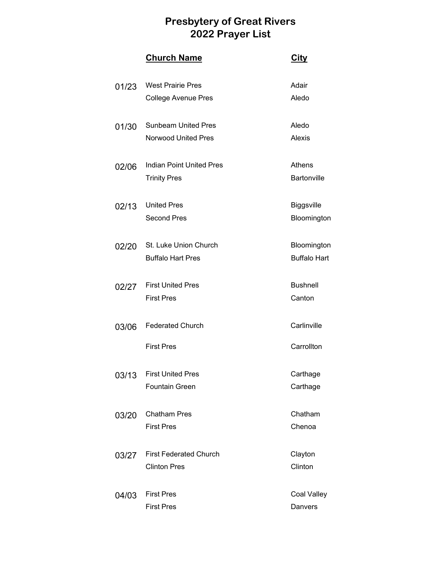|       | <b>Church Name</b>              | <b>City</b>         |
|-------|---------------------------------|---------------------|
| 01/23 | <b>West Prairie Pres</b>        | Adair               |
|       | <b>College Avenue Pres</b>      | Aledo               |
| 01/30 | <b>Sunbeam United Pres</b>      | Aledo               |
|       | <b>Norwood United Pres</b>      | Alexis              |
| 02/06 | <b>Indian Point United Pres</b> | Athens              |
|       | <b>Trinity Pres</b>             | <b>Bartonville</b>  |
| 02/13 | <b>United Pres</b>              | <b>Biggsville</b>   |
|       | <b>Second Pres</b>              | Bloomington         |
| 02/20 | St. Luke Union Church           | Bloomington         |
|       | <b>Buffalo Hart Pres</b>        | <b>Buffalo Hart</b> |
| 02/27 | <b>First United Pres</b>        | <b>Bushnell</b>     |
|       | <b>First Pres</b>               | Canton              |
| 03/06 | <b>Federated Church</b>         | Carlinville         |
|       | <b>First Pres</b>               | Carrollton          |
|       | 03/13 First United Pres         | Carthage            |
|       | <b>Fountain Green</b>           | Carthage            |
| 03/20 | <b>Chatham Pres</b>             | Chatham             |
|       | <b>First Pres</b>               | Chenoa              |
| 03/27 | <b>First Federated Church</b>   | Clayton             |
|       | <b>Clinton Pres</b>             | Clinton             |
| 04/03 | <b>First Pres</b>               | Coal Valley         |
|       | <b>First Pres</b>               | Danvers             |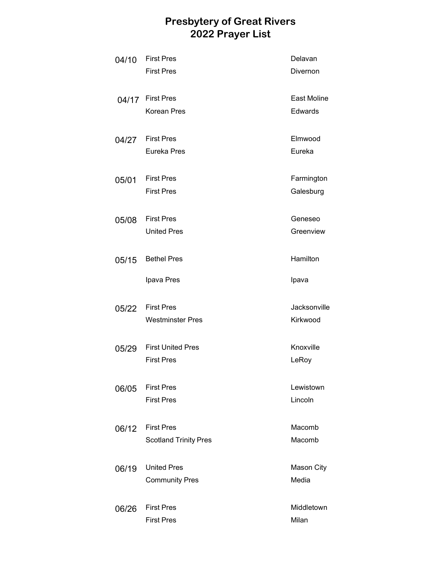| 04/10 | <b>First Pres</b><br><b>First Pres</b>            | Delavan<br>Divernon        |
|-------|---------------------------------------------------|----------------------------|
|       | 04/17 First Pres<br><b>Korean Pres</b>            | East Moline<br>Edwards     |
| 04/27 | <b>First Pres</b><br>Eureka Pres                  | Elmwood<br>Eureka          |
| 05/01 | <b>First Pres</b><br><b>First Pres</b>            | Farmington<br>Galesburg    |
| 05/08 | <b>First Pres</b><br><b>United Pres</b>           | Geneseo<br>Greenview       |
| 05/15 | <b>Bethel Pres</b>                                | Hamilton                   |
|       | Ipava Pres                                        | Ipava                      |
| 05/22 | <b>First Pres</b><br><b>Westminster Pres</b>      | Jacksonville<br>Kirkwood   |
| 05/29 | <b>First United Pres</b><br><b>First Pres</b>     | Knoxville<br>LeRoy         |
| 06/05 | <b>First Pres</b><br><b>First Pres</b>            | Lewistown<br>Lincoln       |
| 06/12 | <b>First Pres</b><br><b>Scotland Trinity Pres</b> | Macomb<br>Macomb           |
| 06/19 | <b>United Pres</b><br><b>Community Pres</b>       | <b>Mason City</b><br>Media |
| 06/26 | <b>First Pres</b><br><b>First Pres</b>            | Middletown<br>Milan        |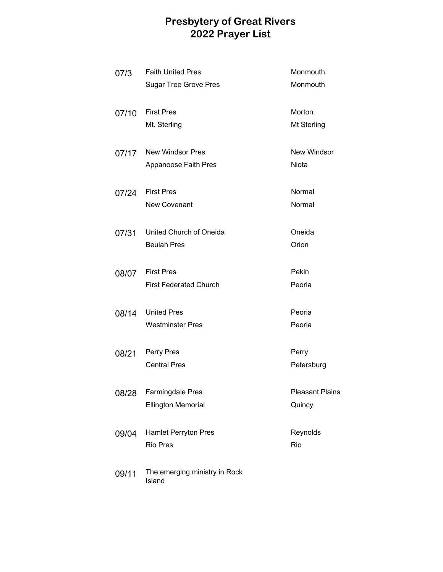| 07/3  | <b>Faith United Pres</b>                | Monmouth               |
|-------|-----------------------------------------|------------------------|
|       | <b>Sugar Tree Grove Pres</b>            | Monmouth               |
| 07/10 | <b>First Pres</b>                       | Morton                 |
|       | Mt. Sterling                            | Mt Sterling            |
| 07/17 | New Windsor Pres                        | <b>New Windsor</b>     |
|       | <b>Appanoose Faith Pres</b>             | <b>Niota</b>           |
| 07/24 | <b>First Pres</b>                       | Normal                 |
|       | <b>New Covenant</b>                     | Normal                 |
| 07/31 | United Church of Oneida                 | Oneida                 |
|       | <b>Beulah Pres</b>                      | Orion                  |
| 08/07 | <b>First Pres</b>                       | Pekin                  |
|       | <b>First Federated Church</b>           | Peoria                 |
| 08/14 | <b>United Pres</b>                      | Peoria                 |
|       | <b>Westminster Pres</b>                 | Peoria                 |
| 08/21 | Perry Pres                              | Perry                  |
|       | <b>Central Pres</b>                     | Petersburg             |
| 08/28 | <b>Farmingdale Pres</b>                 | <b>Pleasant Plains</b> |
|       | <b>Ellington Memorial</b>               | Quincy                 |
| 09/04 | Hamlet Perryton Pres                    | Reynolds               |
|       | <b>Rio Pres</b>                         | Rio                    |
| 09/11 | The emerging ministry in Rock<br>Island |                        |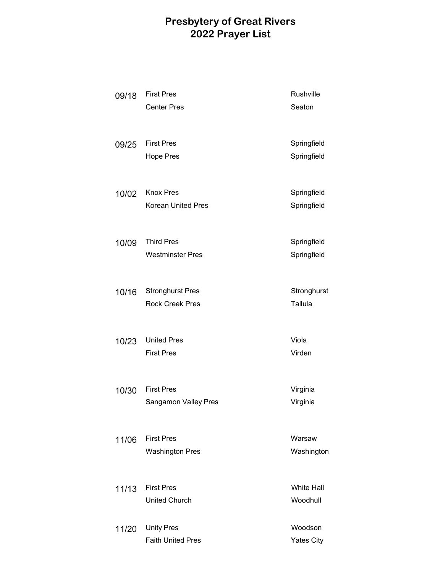| 09/18 | <b>First Pres</b><br><b>Center Pres</b>           | Rushville<br>Seaton           |
|-------|---------------------------------------------------|-------------------------------|
| 09/25 | <b>First Pres</b><br><b>Hope Pres</b>             | Springfield<br>Springfield    |
| 10/02 | <b>Knox Pres</b><br><b>Korean United Pres</b>     | Springfield<br>Springfield    |
| 10/09 | <b>Third Pres</b><br><b>Westminster Pres</b>      | Springfield<br>Springfield    |
| 10/16 | <b>Stronghurst Pres</b><br><b>Rock Creek Pres</b> | Stronghurst<br>Tallula        |
| 10/23 | <b>United Pres</b><br><b>First Pres</b>           | Viola<br>Virden               |
| 10/30 | <b>First Pres</b><br>Sangamon Valley Pres         | Virginia<br>Virginia          |
| 11/06 | <b>First Pres</b><br><b>Washington Pres</b>       | Warsaw<br>Washington          |
| 11/13 | <b>First Pres</b><br><b>United Church</b>         | <b>White Hall</b><br>Woodhull |
| 11/20 | <b>Unity Pres</b><br><b>Faith United Pres</b>     | Woodson<br><b>Yates City</b>  |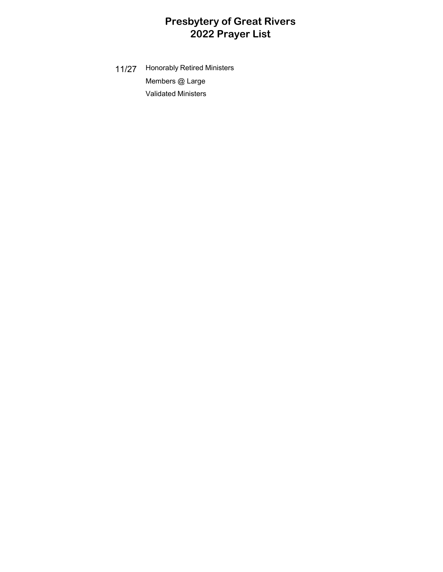11/27 Honorably Retired Ministers Members @ Large Validated Ministers